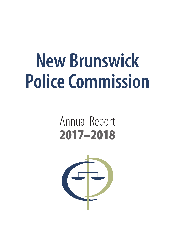# **New Brunswick Police Commission**

## Annual Report 2017–2018

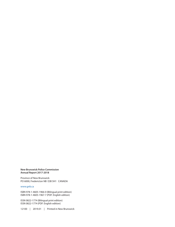### **New Brunswick Police Commission Annual Report 2017-2018**

Province of New Brunswick PO 6000, Fredericton NB E3B 5H1 CANADA

### [www.gnb.ca](http://www.gnb.ca)

ISBN 978-1-4605-1966-0 (Bilingual print edition) ISBN 978-1-4605-1967-7 (PDF: English edition)

ISSN 0822-1774 (Bilingual print edition) ISSN 0822-1774 (PDF: English edition)

12100 | 2019.01 | Printed in New Brunswick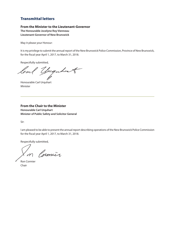## Transmittal letters

### **From the Minister to the Lieutenant-Governor**

**The Honourable Jocelyne Roy Vienneau Lieutenant-Governor of New Brunswick**

May it please your Honour:

It is my privilege to submit the annual report of the New Brunswick Police Commission, Province of New Brunswick, for the fiscal year April 1, 2017, to March 31, 2018.

Respectfully submitted,

loal yuguhart

Honourable Carl Urquhart Minister

**From the Chair to the Minister Honourable Carl Urquhart Minister of Public Safety and Solicitor General**

Sir:

I am pleased to be able to present the annual report describing operations of the New Brunswick Police Commission for the fiscal year April 1, 2017, to March 31, 2018.

Respectfully submitted,

In Cosmur

Ron Cormier Chair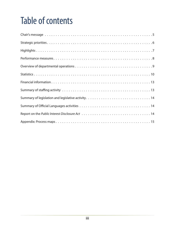## Table of contents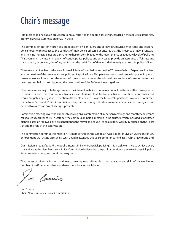## <span id="page-6-0"></span>Chair's message

I am pleased to once again provide this annual report to the people of New Brunswick on the activities of the New Brunswick Police Commission for 2017-2018.

The commission not only provides independent civilian oversight of New Brunswick's municipal and regional police forces with respect to the conduct of their police officers but ensures that the Province of New Brunswick and the nine municipalities are discharging their responsibilities for the maintenance of adequate levels of policing. This oversight may result in reviews of certain police policies and services to provide an assurance of fairness and transparency in policing, therefore, reinforcing the public's confidence and ultimately their trust in police officers.

These streams of review by the New Brunswick Police Commission resulted in 76 cases of which 30 per cent involved an examination of the services and/or policies of a police force. This pace has been consistent with preceding years; however, we are forecasting the return of some major cases as the criminal proceedings of certain matters are nearing completion thus triggering the re-activation of the *Police Act* investigations.

The commission's major challenge remains the inherent inability to forecast conduct matters and the consequences to public opinion. This results in reactive responses to issues that, had a proactive intervention been considered, would mitigate any negative perception of law enforcement. However, historical operations have often confirmed that a New Brunswick Police Commission comprised of strong individual members provides the strategic vision needed to overcome any challenges presented.

Commission meetings were held monthly, relying on a combination of in-person meetings and monthly conference calls to reduce travel costs. In October, the commission held a meeting in Woodstock which included a facilitated planning session followed by a presentation to the mayor and council to ensure they were fully briefed on the *Police Ac*t and the role of the commission.

The commission continues to maintain its membership in the Canadian Association of Civilian Oversight of Law Enforcement. Our acting vice-chair, Lynn Chaplin attended this year's conference held in St. John's, Newfoundland.

Our mission is "to safeguard the public interest in New Brunswick policing". It is a task we strive to achieve every day and we at the New Brunswick Police Commission believe that the public's confidence in New Brunswick police forces remains strong and continues to grow.

The success of this organization continues to be uniquely attributable to the dedication and skills of our very limited number of staff. I congratulate and thank them for a job well done.

Cormier

Ron Cormier Chair, New Brunswick Police Commission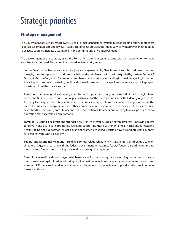## <span id="page-7-0"></span>Strategic priorities

## Strategy management

The Government of New Brunswick (GNB) uses a Formal Management system built on leading business practices to develop, communicate and review strategy. This process provides the Public Service with a proven methodology to execute strategy, increase accountability and continuously drive improvement.

The development of the strategy, using the Formal Management system, starts with a strategic vision to move New Brunswick forward. This vision is anchored in five priority areas:

- **Jobs** Creating the best environment for jobs to be generated by New Brunswickers, by businesses, by their ideas, by their entrepreneurial spirit, and by their hard work. Growth efforts will be guided by the *New Brunswick Economic Growth Plan*, which focuses on strengthening the workforce; expanding innovation capacity; increasing the agility of government; fostering public and private investment in strategic infrastructure; and growing capital investment from the private sector.
- **Education** Improving education as guided by two 10-year plans, *Everyone at Their Best* for the anglophone sector and *Donnons à nos enfants une longueur d'avance* for the francophone sector, that identify objectives for the early learning and education system and establish clear expectations for standards and performance. The areas of focus are: ensuring children and other learners develop the competencies they need to be successful in school and life; improving both literacy and numeracy skills for all learners; and working to make post-secondary education more accessible and affordable.
- **Families** Creating a healthier and stronger New Brunswick by focusing on seven key areas: improving access to primary and acute care; promoting wellness; supporting those with mental health challenges; fostering healthy aging and support for seniors; advancing women's equality; reducing poverty; and providing support for persons living with a disability.
- **Federal and Aboriginal Relations** Building stronger relationships with First Nations; strengthening action on climate change; and working with the federal government to maximize federal funding, including optimizing infrastructure funding and growing the workforce through immigration.
- **Smart Province** Providing taxpayers with better value for their money by transforming the culture of government by eliminating duplication; adopting new innovations in technology to improve services and savings; and ensuring GNB has a ready workforce that has the skills, training, support, leadership and working environments it needs to thrive.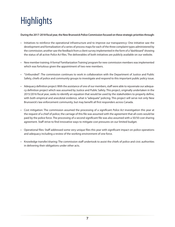## <span id="page-8-0"></span>**Highlights**

### **During the 2017-2018 fiscal year, the New Brunswick Police Commission focused on these strategic priorities through:**

- Initiatives to reinforce the operational infrastructure and to improve our transparency: One initiative saw the development and formalization of a series of process maps for each of the three complaint types administered by the commission; another saw the feedback from a client survey implemented in the form of a "dashboard" showing the status of all active *Police Act* files. The deliverables of both initiatives are publicly available on our website.
- New member training: A formal 'Familiarization Training' program for new commission members was implemented which was fortuitous given the appointment of two new members.
- "Unfounded": The commission continues to work in collaboration with the Department of Justice and Public Safety, chiefs of police and community groups to investigate and respond to this important public policy issue.
- Adequacy definition project: With the assistance of one of our members, staff were able to rejuvenate our adequacy definition project which was assumed by Justice and Public Safety. This project, originally undertaken in the 2015/2016 fiscal year, seeks to identify an equation that would be used by the stakeholders to properly define, with both empirical and anecdotal evidence, what is "adequate" policing. This project will serve not only New Brunswick's law enforcement community, but may benefit all first responders across Canada.
- Cost mitigation: The commission assumed the processing of a significant *Police Act* investigation this year at the request of a chief of police; the carriage of this file was assumed with the agreement that all costs would be paid by the police force. The processing of a second significant file was also assumed with a 50/50 cost sharing agreement. Staff strive to find innovative ways to mitigate cost pressures on our limited budget.
- Operational files: Staff addressed some very unique files this year with significant impact on police operations and adequacy including a review of the working environment of one force.
- Knowledge transfer/sharing: The commission staff undertook to assist the chiefs of police and civic authorities in delivering their obligations under other acts.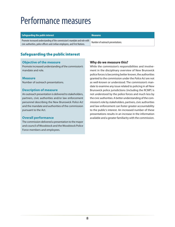## <span id="page-9-0"></span>Performance measures

### **Safeguarding the public interest Measures Measures**

Promote increased understanding of the commission's mandate and role with civic authorities, police officers and civilian employees, and First Nations. Number of outreach presentations.

## Safeguarding the public interest

### **Objective of the measure**

Promote increased understanding of the commission's mandate and role.

### **Measure**

Number of outreach presentations.

### **Description of measure**

An outreach presentation is delivered to stakeholders, partners, civic authorities and/or law enforcement personnel describing the New Brunswick *Police Act*  and the mandate and authorities of the commission pursuant to the Act.

### **Overall performance**

The commission delivered a presentation to the mayor and council of Woodstock and the Woodstock Police Force members and employees.

## **Why do we measure this?**

While the commission's responsibilities and involvement in the disciplinary overview of New Brunswick police forces is becoming better known, the authorities granted to the commission under the *Police Act* are not as well-known or understood. The commission's mandate to examine any issue related to policing in all New Brunswick police jurisdictions (including the RCMP) is not understood by the police forces and much less by the civic authorities. A better understanding of the commission's role by stakeholders, partners, civic authorities and law enforcement can foster greater accountability to the public's interest. An increased number of these presentations results in an increase in the information available and a greater familiarity with the commission.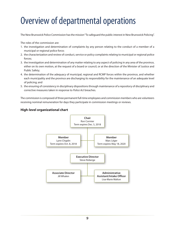## <span id="page-10-0"></span>Overview of departmental operations

The New Brunswick Police Commission has the mission "To safeguard the public interest in New Brunswick Policing".

The roles of the commission are:

- 1. the investigation and determination of complaints by any person relating to the conduct of a member of a municipal or regional police force;
- 2. the characterization and review of conduct, service or policy complaints relating to municipal or regional police forces;
- 3. the investigation and determination of any matter relating to any aspect of policing in any area of the province, either on its own motion, at the request of a board or council, or at the direction of the Minister of Justice and Public Safety;
- 4. the determination of the adequacy of municipal, regional and RCMP forces within the province, and whether each municipality and the province are discharging its responsibility for the maintenance of an adequate level of policing; and
- 5. the ensuring of consistency in disciplinary dispositions through maintenance of a repository of disciplinary and corrective measures taken in response to *Police Act* breaches.

The commission is composed of three permanent full-time employees and commission members who are volunteers receiving nominal remuneration for days they participate in commission meetings or reviews.

### **High-level organizational chart**

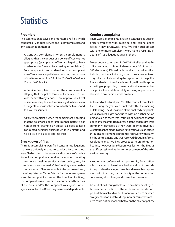## <span id="page-11-0"></span>**Statistics**

### **Preamble**

The commission received and monitored 76 files, which consisted of Conduct, Service and Policy complaints and any combination thereof.

- A Conduct Complaint is when a complainant is alleging that the conduct of a police officer was not appropriate (example: an officer is alleged to have used excessive force while arresting a complainant). For a complaint to be considered a conduct complaint the officer must allegedly have breached one or more of the items found in s. 35 of the *Code of Professional Conduct – Police Ac*t.
- A Service Complaint is when the complainant is alleging that the police force or officer failed to provide them with any service or an inappropriate level of service (example: an officer is alleged to have taken a longer than reasonable amount of time to respond to a call for service).
- A Policy Complaint is when the complainant is alleging that the policy of a police force is either ineffective or non-existent (example: an officer is alleged to have conducted personal business while in uniform and no policy is in place to address this).

### **Breakdown of files**

Thirty-four complaints were filed concerning allegations that were uniquely related to conduct; 19 complaints were filed relating to the service and/or policy of a police force; four complaints contained allegations relating to conduct as well as service and/or policy; and, 19 complaints were deemed "Other" as they were unable to be processed. Files are unable to be processed and, therefore, listed as "Other" status for the following reasons: the complaint exceeded the time limit for filing, the complaint was not within the enumerated breaches of the code, and/or the complaint was against other agencies such as the RCMP or government departments.

### **Conduct complaints**

There were 38 complaints involving conduct filed against officers employed with municipal and regional police forces in New Brunswick. Forty-five individual officers with one or more complaints were named resulting in a total of 103 allegations against them.

Most conduct complaints in 2017-2018 alleged that the officer engaged in discreditable conduct (35 of the total 103 allegations). Discreditable conduct of a police officer includes, but is not limited to, acting in a manner while on duty which is likely to bring the reputation of the police force with which the officer is employed into disrepute, asserting or purporting to assert authority as a member of a police force while off duty or being oppressive or abusive to any person while on duty.

At the end of the fiscal year, 27 of the conduct complaints filed during the year were finalized with 11 remaining outstanding. The disposition of the finalized complaints was as follows: eight concluded with no further action being taken as there was insufficient evidence that the police officer committed a breach of the code; eight were summarily dismissed as they were deemed frivolous, vexatious or not made in good faith; four were concluded through a settlement conference; four were withdrawn by the complainant; one was resolved through informal resolution; and, two files proceeded to an arbitration hearing, however, jurisdiction was lost on the files as the officer resigned at the commencement of the arbitration hearing.

A settlement conference is an opportunity for an officer who is alleged to have breached a section of the code to respond to the alleged breach and to reach an agreement with the chief, civic authority or the commission concerning disciplinary and corrective measures.

An arbitration hearing is held when an officer has allegedly breached a section of the code and either did not present themselves to a settlement conference or when an agreement on suitable disciplinary or corrective measures could not be reached between the chief of police/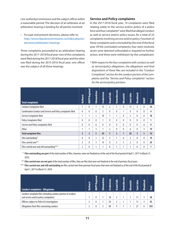civic authority/commission and the subject officer within a reasonable period. The decision of an arbitrator at an arbitration hearing is binding for all parties involved.

• For past and present decisions, please refer to: [http://www.nbpolicecommission.ca/index.php/en/](http://www.nbpolicecommission.ca/index.php/en/decisions/arbitration-hearings) [decisions/arbitration-hearings](http://www.nbpolicecommission.ca/index.php/en/decisions/arbitration-hearings)

Three complaints proceeded to an arbitration hearing during the 2017-2018 fiscal year: two of the complaints were filed during the 2017-2018 fiscal year and the other was filed during the 2015-2016 fiscal year; one officer was the subject of all three hearings.

### **Service and Policy complaints**

In the 2017-2018 fiscal year, 19 complaints were filed relating solely to the service and/or policy of a police force and four complaints\* were filed that alleged conduct as well as service and/or policy issues, for a total of 23 complaints involving service and/or policy. Fourteen of these complaints were concluded by the end of the fiscal year. Of the concluded complaints, four were resolved, seven were deemed unfounded or required no further action, and three were withdrawn by the complainant.

\* *With respect to the four complaints with conduct as well as service/policy allegations, the allegations and final dispositions of these files are included in the "Conduct Complaints" section for the conduct portion of the complaints and the "Service and Policy complaints" section for the service/policy portions.*

| <b>Total complaints</b>                                     | <b>Bathurst</b> | Regional<br><b>BNPP</b> | Edmundston   | Fredericton | <b>Grand Falls</b> | Kennebecasis   | Miramichi    | Saint John     | <b>Moodstock</b> | RCMP | <b>Total</b> |
|-------------------------------------------------------------|-----------------|-------------------------|--------------|-------------|--------------------|----------------|--------------|----------------|------------------|------|--------------|
| <b>Conduct Complaints filed</b>                             | 1               | 0                       | $\mathbf{1}$ | 15          | 2                  | $\mathbf{1}$   | $\mathbf{0}$ | 11             | 3                | 0    | 34           |
| Combination Conduct and Service and Policy complaints filed | 0               | 0                       | $\bf{0}$     | 3           | 0                  | $\mathbf{0}$   |              | $\mathbf{0}$   | 0                | 0    | 4            |
| Service Complaints filed                                    | 1               |                         | 1            | 10          |                    |                | 0            | 3              | 0                | 0    | 18           |
| Policy Complaints filed                                     | 0               | 0                       | $\mathbf{0}$ | 1           | 0                  | 0              | $\mathbf{0}$ | $\theta$       | 0                | 0    | 1            |
| Service and Policy complaints filed                         | 0               | 0                       | $\mathbf{0}$ | 0           | 0                  | $\theta$       | $\theta$     | $\mathbf{0}$   | 0                | 0    | 0            |
| <b>Other</b>                                                | 1               | 1                       | 3            | 1           | 2                  | 0              | $\mathbf{0}$ | 6              | 0                | 5    | 19           |
| <b>Total complaint files</b>                                | $\overline{3}$  | $\overline{2}$          | 5            | 30          | 5                  | $\overline{2}$ | 1            | 20             | 3                | 5    | 76           |
| Files outstanding*                                          | 0               | 0                       | 1            | 12          | 3                  | $\mathbf{1}$   | $\theta$     | $\overline{2}$ | 0                | 0    | 19           |
| Files carried over**                                        | 3               | 0                       | 3            | 14          | 0                  | $\overline{2}$ | 5            | $\overline{2}$ | 0                | 0    | 29           |
| Files carried over and still outstanding***                 | 2               | 0                       |              | 1           |                    |                |              |                |                  |      | 7            |

\* **Files outstanding are part** of the total number of files, however, were not finalized as of the end of the fiscal period of April 1, 2017 to March 31, 2018.

\*\* **Files carried over are not part** of the total number of files; they are files that were not finalized at the end of previous fiscal years.

\*\*\* **Files carried over and still outstanding** are files carried over from previous fiscal years that were not finalized as of the end of the fiscal period of April 1, 2017 to March 31, 2018.

| <b>Conduct complaints - Allegations</b>                                                                | <b>Bathurst</b> | Regional<br><b>BNPP</b> | Edmundston | Fredericton | Falls<br>Grand | Kennebecasis | <b>Miramichi</b> | Saint John | <b>Moodstock</b> | Total |
|--------------------------------------------------------------------------------------------------------|-----------------|-------------------------|------------|-------------|----------------|--------------|------------------|------------|------------------|-------|
| Conduct complaint files (including conduct portion of conduct<br>and service and/or policy complaints) |                 | 0                       |            | 18          |                |              |                  |            |                  | 38    |
| Officers subject to <i>Police Act</i> investigation                                                    |                 | 0                       |            | 24          |                |              |                  |            |                  | 45    |
| Allegations from files concerning conduct                                                              |                 | 0                       |            | 48          |                |              |                  |            |                  | 103   |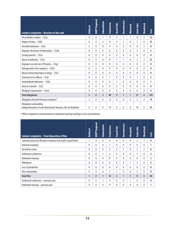| <b>Conduct complaints - Breaches of the code</b>                                              | <b>Bathurst</b> | <b>BNPP Regional</b> | Edmundston     | <b>Fredericton</b> | <b>Grand Falls</b> | Kennebecasis   | Miramichi | Saint John     | <b>Woodstock</b> | <b>Total</b>   |
|-----------------------------------------------------------------------------------------------|-----------------|----------------------|----------------|--------------------|--------------------|----------------|-----------|----------------|------------------|----------------|
| Discreditable conduct $-35(a)$                                                                | $\mathbf{0}$    | $\mathbf{0}$         | 1              | 15                 | 3                  | 1              | 1         | 12             | $\overline{2}$   | 35             |
| Neglect of duty $-35(b)$                                                                      | $\mathbf{0}$    | 0                    | $\overline{2}$ | 11                 | 4                  | 1              | 0         | $\overline{7}$ | 0                | 25             |
| Deceitful behaviour $-35(c)$                                                                  | $\overline{2}$  | 0                    | $\theta$       | 4                  | $\mathbf{0}$       | $\mathbf{0}$   | 0         | 0              | $\overline{2}$   | 8              |
| Improper disclosure of information $-35$ (d)                                                  | $\mathbf{0}$    | $\mathbf{0}$         | 0              | 0                  | $\theta$           | $\mathbf{0}$   | 0         | 5              | $\mathbf{0}$     | 5              |
| Corrupt practice - 35(e)                                                                      | $\mathbf{0}$    | $\mathbf{0}$         | 0              | 0                  | $\theta$           | $\mathbf{0}$   | 0         | 0              | $\theta$         | $\mathbf{0}$   |
| Abuse of authority $-35(f)$                                                                   | $\mathbf{0}$    | $\mathbf{0}$         | $\mathbf{0}$   | 17                 | 1                  | 1              | 0         | 2              | 2                | 23             |
| Improper use and care of firearms $-35(g)$                                                    | $\bf{0}$        | 0                    | 0              | $\theta$           | $\theta$           | $\mathbf{0}$   | 0         | 0              | $\theta$         | 0              |
| Damage police force property $-35(h)$                                                         | $\mathbf{0}$    | $\mathbf{0}$         | 0              | 0                  | $\theta$           | $\Omega$       | 0         | 0              | $\theta$         | $\mathbf{0}$   |
| Misuse intoxicating liquor or drugs $-35(i)$                                                  | $\mathbf{0}$    | $\mathbf{0}$         | 0              | 0                  | $\theta$           | $\mathbf{0}$   | 0         | 0              | $\Omega$         | $\mathbf{0}$   |
| Convicted of an offence $-35(j)$                                                              | $\mathbf{0}$    | 0                    | 0              | 1                  | $\theta$           | $\Omega$       | 0         | 1              | $\theta$         | $\overline{2}$ |
| Insubordinate behaviour $-35(k)$                                                              | $\mathbf{0}$    | 0                    | 0              | 0                  | 1                  | $\Omega$       | 0         | 0              | 0                | 1              |
| Party to a breach - 35(I)                                                                     | $\mathbf{0}$    | 0                    | 0              | $\mathbf{0}$       | $\theta$           | $\Omega$       | 0         | 0              | $\theta$         | 0              |
| Workplace harassment $-35(m)$                                                                 | $\mathbf{0}$    | $\mathbf{0}$         | 0              | 0                  | $\theta$           | 4              | 0         | 0              | $\mathbf{0}$     | 4              |
| <b>Total allegations</b>                                                                      | $\overline{2}$  | $\mathbf{0}$         | 3              | 48                 | 9                  | $\overline{7}$ | 1         | 27             | 6                | 103            |
| Allegations deemed frivolous/vexatious*                                                       | $\overline{2}$  | $\mathbf{0}$         | $\mathbf{0}$   | 12                 | $\theta$           | $\Omega$       | 0         | 3              | $\overline{2}$   | 19             |
| Allegations outstanding<br>(alleged breaches of code determined; however, file not finalized) | $\mathbf{0}$    | 0                    | $\mathbf{0}$   | 16                 | 9                  | $\mathbf{0}$   | 0         | 10             | $\theta$         | 35             |

\* Officer resigned at commencement of arbitration hearing resulting in a loss of jurisdiction.

| Conduct complaints - Final disposition of files                | <b>Bathurst</b> | Regional<br><b>BNPP</b> | Edmundston   | Fredericton    | <b>Grand Falls</b> | Kennebecasis | Miramichi | Saint John | <b>Woodstock</b> | <b>Total</b>   |
|----------------------------------------------------------------|-----------------|-------------------------|--------------|----------------|--------------------|--------------|-----------|------------|------------------|----------------|
| Summary dismissal (frivolous/vexatious/not made in good faith) | 1               | 0                       | $\theta$     | 4              | $\mathbf{0}$       | $\Omega$     | 0         | 2          | $\mathbf{1}$     | 8              |
| Informal resolution                                            | $\mathbf{0}$    | 0                       | $\mathbf{0}$ | 1              | 0                  | $\Omega$     | 0         | $\Omega$   | $\theta$         | 1              |
| No further action                                              | $\mathbf{0}$    | 0                       | 0            | $\overline{2}$ | 0                  | 1            | 0         | 3          | $\overline{2}$   | 8              |
| Settlement conference                                          | $\mathbf{0}$    | 0                       | 1            | 2              | 0                  | $\Omega$     | 0         |            | $\mathbf{0}$     | 4              |
| Arbitration hearing                                            | $\mathbf{0}$    | 0                       | 0            | $2*$           | $\mathbf{0}$       | $\mathbf{0}$ | 0         | 0          | $\theta$         | $\overline{2}$ |
| Withdrawn                                                      | 0               | 0                       | $\theta$     | 0              | $\mathbf{0}$       | $\Omega$     |           | 3          | $\theta$         | 4              |
| Loss of jurisdiction                                           | $\mathbf{0}$    | 0                       | $\theta$     | $\theta$       | 0                  | $\mathbf{0}$ | 0         | 0          | $\theta$         | 0              |
| Files outstanding                                              | $\mathbf{0}$    | 0                       | 0            | 7              | $\overline{2}$     | $\mathbf{0}$ | 0         | 2          | $\mathbf{0}$     | 11             |
| <b>Total files</b>                                             | $\mathbf{1}$    | 0                       | 1            | 18             | $\overline{2}$     | $\mathbf{1}$ | 1         | 11         | $\overline{3}$   | 38             |
| Settlement conference – previous year                          | 0               | 0                       | 1            | 4              | 0                  | $\Omega$     |           | 0          | $\mathbf{0}$     | 6              |
| Arbitration hearing - previous year                            | $\mathbf{0}$    | 0                       | $\theta$     | $1*$           | $\theta$           | $\mathbf{0}$ | 0         | 0          | $\mathbf{0}$     | 1              |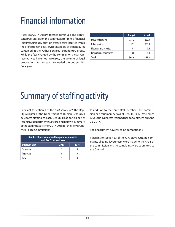## <span id="page-14-0"></span>Financial information

Fiscal year 2017-2018 witnessed continued and significant pressures upon the commission's limited financial resources, uniquely due to increased costs incurred within the professional/ legal services category of expenditures contained in the "Other Services" expenditure group. While the fees charged by the commission's legal representatives have not increased, the volume of legal proceedings and research exceeded the budget this fiscal year.

|                        | <b>Budget</b> | <b>Actual</b> |
|------------------------|---------------|---------------|
| Personnel services     | 253.2         | 220.0         |
| Other services         | 97.3          | 235.8         |
| Materials and supplies | 6.1           | 7.6           |
| Property and equipment | 8.0           | 1.8           |
| Total                  | 364.6         | 465.2         |

## Summary of staffing activity

Pursuant to section 4 of the *Civil Service Act*, the Deputy Minister of the Department of Human Resources delegates staffing to each Deputy Head for his or her respective department(s). Please find below a summary of the staffing activity for 2017-2018 for the New Brunswick Police Commissionn.

| Number of permanent and temporary employees<br>as of Dec. 31 of each year |      |      |  |  |  |  |  |  |
|---------------------------------------------------------------------------|------|------|--|--|--|--|--|--|
| <b>Employee type</b>                                                      | 2017 | 2016 |  |  |  |  |  |  |
| Permanent                                                                 |      |      |  |  |  |  |  |  |
| Temporary                                                                 |      |      |  |  |  |  |  |  |
| Total                                                                     |      |      |  |  |  |  |  |  |

In addition to the three staff members, the commission had four members as of Dec. 31, 2017. Ms. France Levesque-Ouellette resigned her appointment on Sept. 20, 2017.

The department advertised no competitions.

Pursuant to section 33 of the *Civil Service Act*, no complaints alleging favouritism were made to the chair of the commission and no complaints were submitted to the Ombud.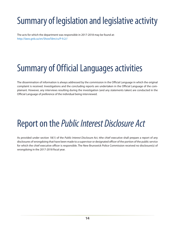## <span id="page-15-0"></span>Summary of legislation and legislative activity

The acts for which the department was responsible in 2017-2018 may be found at: http://laws.gnb.ca/en/ShowTdm/cs/P-9.2//

## Summary of Official Languages activities

The dissemination of information is always addressed by the commission in the Official Language in which the original complaint is received. Investigations and the concluding reports are undertaken in the Official Language of the complainant. However, any interviews resulting during the investigation (and any statements taken) are conducted in the Official Language of preference of the individual being interviewed.

## Report on the *Public Interest Disclosure Act*

As provided under section 18(1) of the *Public Interest Disclosure Act*, tthe chief executive shall prepare a report of any disclosures of wrongdoing that have been made to a supervisor or designated officer of the portion of the public service for which the chief executive officer is responsible. The New Brunswick Police Commission received no disclosure(s) of wrongdoing in the 2017-2018 fiscal year.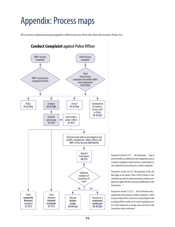## <span id="page-16-0"></span>Appendix: Process maps

All sections/subsections/paragraphs referenced are from the New Brunswick *Police Act*.



Pursuant to section 26.1(1) "…the Commission… may, at any time before an arbitrator has been appointed, process a conduct complaint or take over from a chief of police or civic authority the processing of a conduct complaint."

Pursuant to section 26.1(2) "The provisions of this Act that apply to the powers that a chief of police or civic authority may exercise when processing a conduct complaint also apply with the necessary modifications to the Commission…"

Pursuant to section 27.2(1) "...the Commission may... suspend the processing of a conduct complaint...where the processing will be or becomes an investigation into an alleged offence under an Act of the Legislature or an Act of the Parliament of Canada until such time as the Commission directs otherwise."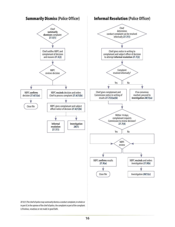

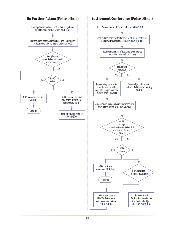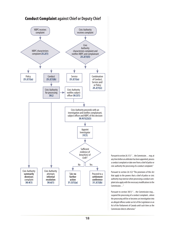

Pursuant to section 26.1(1) ". . . the Commission . . . may, at any time before an arbitrator has been appointed, process a conduct complaint or take over from a chief of police or civic authority the processing of a conduct complaint."

Pursuant to section 26.1(2) "The provisions of this Act that apply to the powers that a chief of police or civic authority may exercise when processing a conduct complaint also apply with the necessary modifications to the Commission…"

Pursuant to section 30(1) "...the Commission may... suspend the processing of a conduct complaint...where the processing will be or becomes an investigation into an alleged offence under an Act of the Legislature or an Act of the Parliament of Canada until such time as the Commission directs otherwise."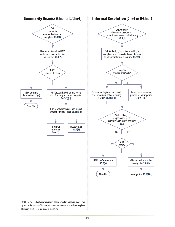

19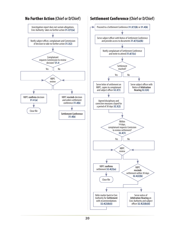

## No Further Action **(Chief or D/Chief)** Settlement Conference **(Chief or D/Chief)**